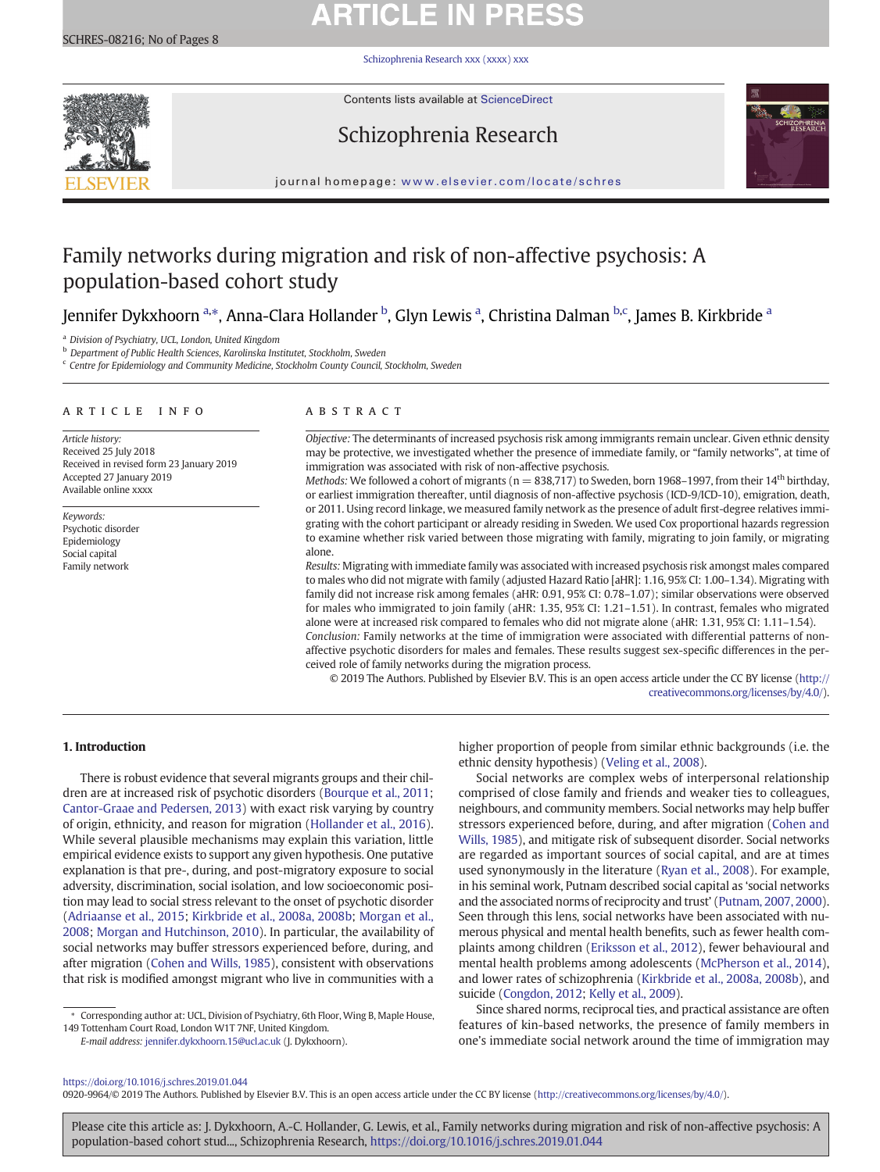# **ARTICLE IN PRESS**

[Schizophrenia Research xxx \(xxxx\) xxx](https://doi.org/10.1016/j.schres.2019.01.044)



Contents lists available at ScienceDirect

# Schizophrenia Research



journal homepage: <www.elsevier.com/locate/schres>

# Family networks during migration and risk of non-affective psychosis: A population-based cohort study

Jennifer Dykxhoorn <sup>a,\*</sup>, Anna-Clara Hollander <sup>b</sup>, Glyn Lewis <sup>a</sup>, Christina Dalman <sup>b,c</sup>, James B. Kirkbride <sup>a</sup>

<sup>a</sup> Division of Psychiatry, UCL, London, United Kingdom

<sup>b</sup> Department of Public Health Sciences, Karolinska Institutet, Stockholm, Sweden

<sup>c</sup> Centre for Epidemiology and Community Medicine, Stockholm County Council, Stockholm, Sweden

#### article info abstract

Article history: Received 25 July 2018 Received in revised form 23 January 2019 Accepted 27 January 2019 Available online xxxx

Keywords: Psychotic disorder Epidemiology Social capital Family network

Objective: The determinants of increased psychosis risk among immigrants remain unclear. Given ethnic density may be protective, we investigated whether the presence of immediate family, or "family networks", at time of immigration was associated with risk of non-affective psychosis.

*Methods:* We followed a cohort of migrants ( $n = 838,717$ ) to Sweden, born 1968–1997, from their 14<sup>th</sup> birthday, or earliest immigration thereafter, until diagnosis of non-affective psychosis (ICD-9/ICD-10), emigration, death, or 2011. Using record linkage, we measured family network as the presence of adult first-degree relatives immigrating with the cohort participant or already residing in Sweden. We used Cox proportional hazards regression to examine whether risk varied between those migrating with family, migrating to join family, or migrating alone.

Results: Migrating with immediate family was associated with increased psychosis risk amongst males compared to males who did not migrate with family (adjusted Hazard Ratio [aHR]: 1.16, 95% CI: 1.00–1.34). Migrating with family did not increase risk among females (aHR: 0.91, 95% CI: 0.78–1.07); similar observations were observed for males who immigrated to join family (aHR: 1.35, 95% CI: 1.21–1.51). In contrast, females who migrated alone were at increased risk compared to females who did not migrate alone (aHR: 1.31, 95% CI: 1.11–1.54). Conclusion: Family networks at the time of immigration were associated with differential patterns of nonaffective psychotic disorders for males and females. These results suggest sex-specific differences in the perceived role of family networks during the migration process.

© 2019 The Authors. Published by Elsevier B.V. This is an open access article under the CC BY license [\(http://](http://creativecommons.org/licenses/by/4.0/) [creativecommons.org/licenses/by/4.0/\)](http://creativecommons.org/licenses/by/4.0/).

## 1. Introduction

There is robust evidence that several migrants groups and their children are at increased risk of psychotic disorders [\(Bourque et al., 2011;](#page-6-0) [Cantor-Graae and Pedersen, 2013\)](#page-6-0) with exact risk varying by country of origin, ethnicity, and reason for migration [\(Hollander et al., 2016](#page-6-0)). While several plausible mechanisms may explain this variation, little empirical evidence exists to support any given hypothesis. One putative explanation is that pre-, during, and post-migratory exposure to social adversity, discrimination, social isolation, and low socioeconomic position may lead to social stress relevant to the onset of psychotic disorder [\(Adriaanse et al., 2015](#page-6-0); [Kirkbride et al., 2008a, 2008b](#page-6-0); [Morgan et al.,](#page-6-0) [2008;](#page-6-0) [Morgan and Hutchinson, 2010](#page-6-0)). In particular, the availability of social networks may buffer stressors experienced before, during, and after migration [\(Cohen and Wills, 1985](#page-6-0)), consistent with observations that risk is modified amongst migrant who live in communities with a

Corresponding author at: UCL, Division of Psychiatry, 6th Floor, Wing B, Maple House, 149 Tottenham Court Road, London W1T 7NF, United Kingdom.

E-mail address: <jennifer.dykxhoorn.15@ucl.ac.uk> (J. Dykxhoorn).

higher proportion of people from similar ethnic backgrounds (i.e. the ethnic density hypothesis) [\(Veling et al., 2008](#page-7-0)).

Social networks are complex webs of interpersonal relationship comprised of close family and friends and weaker ties to colleagues, neighbours, and community members. Social networks may help buffer stressors experienced before, during, and after migration ([Cohen and](#page-6-0) [Wills, 1985](#page-6-0)), and mitigate risk of subsequent disorder. Social networks are regarded as important sources of social capital, and are at times used synonymously in the literature ([Ryan et al., 2008](#page-6-0)). For example, in his seminal work, Putnam described social capital as 'social networks and the associated norms of reciprocity and trust' ([Putnam, 2007, 2000](#page-6-0)). Seen through this lens, social networks have been associated with numerous physical and mental health benefits, such as fewer health complaints among children [\(Eriksson et al., 2012](#page-6-0)), fewer behavioural and mental health problems among adolescents [\(McPherson et al., 2014](#page-6-0)), and lower rates of schizophrenia [\(Kirkbride et al., 2008a, 2008b\)](#page-6-0), and suicide ([Congdon, 2012](#page-6-0); [Kelly et al., 2009](#page-6-0)).

Since shared norms, reciprocal ties, and practical assistance are often features of kin-based networks, the presence of family members in one's immediate social network around the time of immigration may

### <https://doi.org/10.1016/j.schres.2019.01.044>

0920-9964/© 2019 The Authors. Published by Elsevier B.V. This is an open access article under the CC BY license [\(http://creativecommons.org/licenses/by/4.0/](http://creativecommons.org/licenses/by/4.0/)).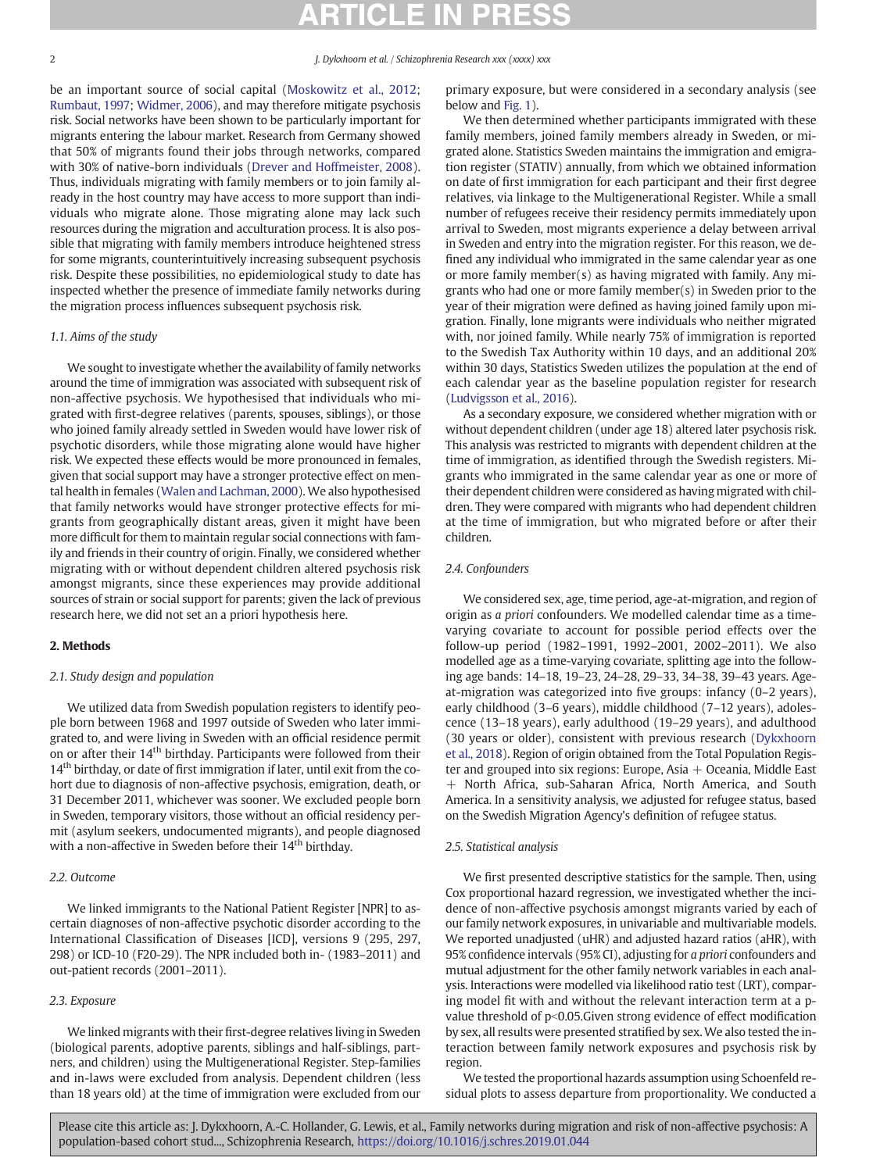be an important source of social capital ([Moskowitz et al., 2012](#page-6-0); [Rumbaut, 1997;](#page-6-0) [Widmer, 2006\)](#page-7-0), and may therefore mitigate psychosis risk. Social networks have been shown to be particularly important for migrants entering the labour market. Research from Germany showed that 50% of migrants found their jobs through networks, compared with 30% of native-born individuals [\(Drever and Hoffmeister, 2008](#page-6-0)). Thus, individuals migrating with family members or to join family already in the host country may have access to more support than individuals who migrate alone. Those migrating alone may lack such resources during the migration and acculturation process. It is also possible that migrating with family members introduce heightened stress for some migrants, counterintuitively increasing subsequent psychosis risk. Despite these possibilities, no epidemiological study to date has inspected whether the presence of immediate family networks during the migration process influences subsequent psychosis risk.

# 1.1. Aims of the study

We sought to investigate whether the availability of family networks around the time of immigration was associated with subsequent risk of non-affective psychosis. We hypothesised that individuals who migrated with first-degree relatives (parents, spouses, siblings), or those who joined family already settled in Sweden would have lower risk of psychotic disorders, while those migrating alone would have higher risk. We expected these effects would be more pronounced in females, given that social support may have a stronger protective effect on mental health in females [\(Walen and Lachman, 2000\)](#page-7-0). We also hypothesised that family networks would have stronger protective effects for migrants from geographically distant areas, given it might have been more difficult for them to maintain regular social connections with family and friends in their country of origin. Finally, we considered whether migrating with or without dependent children altered psychosis risk amongst migrants, since these experiences may provide additional sources of strain or social support for parents; given the lack of previous research here, we did not set an a priori hypothesis here.

# 2. Methods

# 2.1. Study design and population

We utilized data from Swedish population registers to identify people born between 1968 and 1997 outside of Sweden who later immigrated to, and were living in Sweden with an official residence permit on or after their 14<sup>th</sup> birthday. Participants were followed from their  $14<sup>th</sup>$  birthday, or date of first immigration if later, until exit from the cohort due to diagnosis of non-affective psychosis, emigration, death, or 31 December 2011, whichever was sooner. We excluded people born in Sweden, temporary visitors, those without an official residency permit (asylum seekers, undocumented migrants), and people diagnosed with a non-affective in Sweden before their 14<sup>th</sup> birthday.

# 2.2. Outcome

We linked immigrants to the National Patient Register [NPR] to ascertain diagnoses of non-affective psychotic disorder according to the International Classification of Diseases [ICD], versions 9 (295, 297, 298) or ICD-10 (F20-29). The NPR included both in- (1983–2011) and out-patient records (2001–2011).

## 2.3. Exposure

We linked migrants with their first-degree relatives living in Sweden (biological parents, adoptive parents, siblings and half-siblings, partners, and children) using the Multigenerational Register. Step-families and in-laws were excluded from analysis. Dependent children (less than 18 years old) at the time of immigration were excluded from our primary exposure, but were considered in a secondary analysis (see below and [Fig. 1\)](#page-2-0).

We then determined whether participants immigrated with these family members, joined family members already in Sweden, or migrated alone. Statistics Sweden maintains the immigration and emigration register (STATIV) annually, from which we obtained information on date of first immigration for each participant and their first degree relatives, via linkage to the Multigenerational Register. While a small number of refugees receive their residency permits immediately upon arrival to Sweden, most migrants experience a delay between arrival in Sweden and entry into the migration register. For this reason, we defined any individual who immigrated in the same calendar year as one or more family member(s) as having migrated with family. Any migrants who had one or more family member(s) in Sweden prior to the year of their migration were defined as having joined family upon migration. Finally, lone migrants were individuals who neither migrated with, nor joined family. While nearly 75% of immigration is reported to the Swedish Tax Authority within 10 days, and an additional 20% within 30 days, Statistics Sweden utilizes the population at the end of each calendar year as the baseline population register for research [\(Ludvigsson et al., 2016](#page-6-0)).

As a secondary exposure, we considered whether migration with or without dependent children (under age 18) altered later psychosis risk. This analysis was restricted to migrants with dependent children at the time of immigration, as identified through the Swedish registers. Migrants who immigrated in the same calendar year as one or more of their dependent children were considered as having migrated with children. They were compared with migrants who had dependent children at the time of immigration, but who migrated before or after their children.

### 2.4. Confounders

We considered sex, age, time period, age-at-migration, and region of origin as a priori confounders. We modelled calendar time as a timevarying covariate to account for possible period effects over the follow-up period (1982–1991, 1992–2001, 2002–2011). We also modelled age as a time-varying covariate, splitting age into the following age bands: 14–18, 19–23, 24–28, 29–33, 34–38, 39–43 years. Ageat-migration was categorized into five groups: infancy (0–2 years), early childhood (3–6 years), middle childhood (7–12 years), adolescence (13–18 years), early adulthood (19–29 years), and adulthood (30 years or older), consistent with previous research ([Dykxhoorn](#page-6-0) [et al., 2018\)](#page-6-0). Region of origin obtained from the Total Population Register and grouped into six regions: Europe, Asia  $+$  Oceania, Middle East + North Africa, sub-Saharan Africa, North America, and South America. In a sensitivity analysis, we adjusted for refugee status, based on the Swedish Migration Agency's definition of refugee status.

#### 2.5. Statistical analysis

We first presented descriptive statistics for the sample. Then, using Cox proportional hazard regression, we investigated whether the incidence of non-affective psychosis amongst migrants varied by each of our family network exposures, in univariable and multivariable models. We reported unadjusted (uHR) and adjusted hazard ratios (aHR), with 95% confidence intervals (95% CI), adjusting for a priori confounders and mutual adjustment for the other family network variables in each analysis. Interactions were modelled via likelihood ratio test (LRT), comparing model fit with and without the relevant interaction term at a pvalue threshold of  $p<0.05$ . Given strong evidence of effect modification by sex, all results were presented stratified by sex. We also tested the interaction between family network exposures and psychosis risk by region.

We tested the proportional hazards assumption using Schoenfeld residual plots to assess departure from proportionality. We conducted a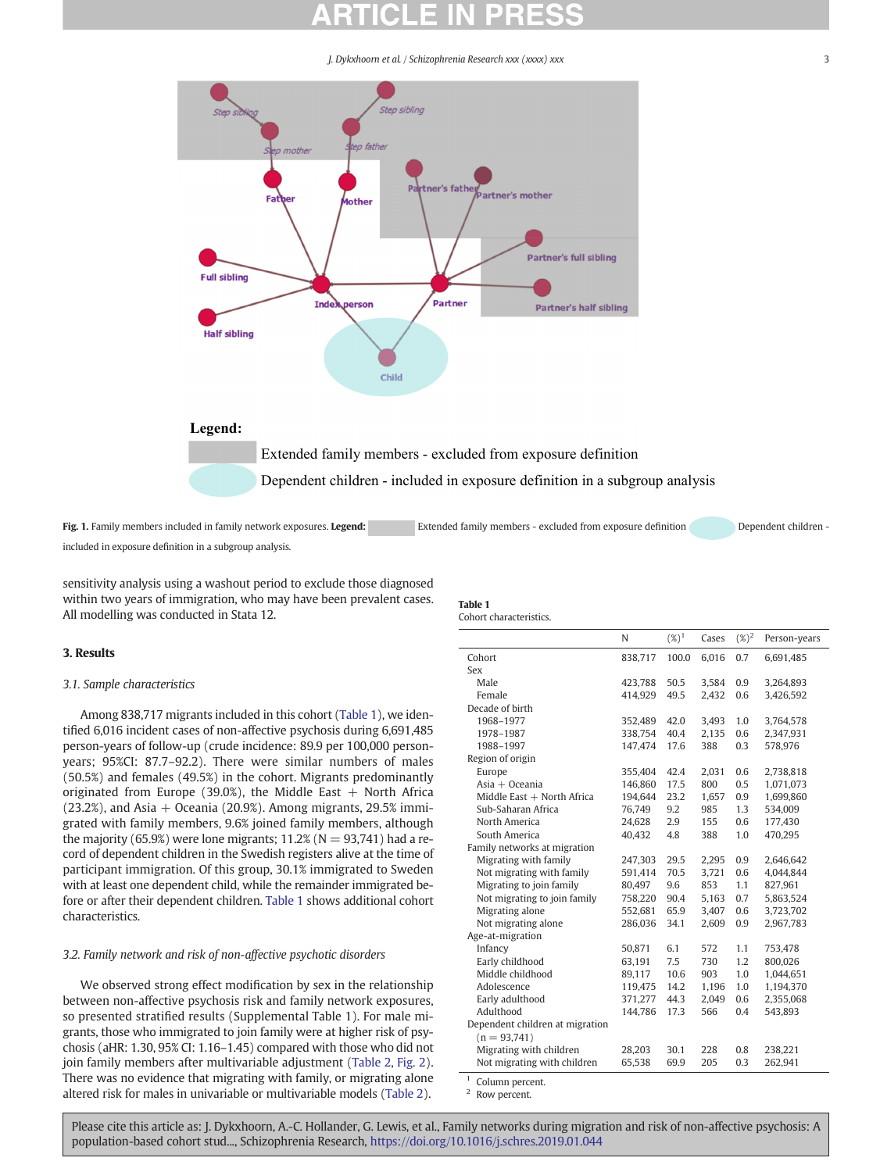<span id="page-2-0"></span>

#### **Legend:**

Extended family members - excluded from exposure definition Dependent children - included in exposure definition in a subgroup analysis

Fig. 1. Family members included in family network exposures. Legend: Extended family members - excluded from exposure definition Dependent children included in exposure definition in a subgroup analysis.

sensitivity analysis using a washout period to exclude those diagnosed within two years of immigration, who may have been prevalent cases. All modelling was conducted in Stata 12.

### 3. Results

### 3.1. Sample characteristics

Among 838,717 migrants included in this cohort (Table 1), we identified 6,016 incident cases of non-affective psychosis during 6,691,485 person-years of follow-up (crude incidence: 89.9 per 100,000 personyears; 95%CI: 87.7–92.2). There were similar numbers of males (50.5%) and females (49.5%) in the cohort. Migrants predominantly originated from Europe (39.0%), the Middle East  $+$  North Africa  $(23.2%)$ , and Asia + Oceania  $(20.9%)$ . Among migrants, 29.5% immigrated with family members, 9.6% joined family members, although the majority (65.9%) were lone migrants;  $11.2%$  (N = 93,741) had a record of dependent children in the Swedish registers alive at the time of participant immigration. Of this group, 30.1% immigrated to Sweden with at least one dependent child, while the remainder immigrated before or after their dependent children. Table 1 shows additional cohort characteristics.

## 3.2. Family network and risk of non-affective psychotic disorders

We observed strong effect modification by sex in the relationship between non-affective psychosis risk and family network exposures, so presented stratified results (Supplemental Table 1). For male migrants, those who immigrated to join family were at higher risk of psychosis (aHR: 1.30, 95% CI: 1.16–1.45) compared with those who did not join family members after multivariable adjustment [\(Table 2,](#page-3-0) [Fig. 2](#page-3-0)). There was no evidence that migrating with family, or migrating alone altered risk for males in univariable or multivariable models [\(Table 2\)](#page-3-0).

### Table 1 Cohort characteristics.

|                                 | N       | $(%)^1$ | Cases | $({\%})^2$ | Person-years |
|---------------------------------|---------|---------|-------|------------|--------------|
| Cohort                          | 838,717 | 100.0   | 6.016 | 0.7        | 6.691.485    |
| Sex                             |         |         |       |            |              |
| Male                            | 423,788 | 50.5    | 3,584 | 0.9        | 3,264,893    |
| Female                          | 414,929 | 49.5    | 2,432 | 0.6        | 3,426,592    |
| Decade of birth                 |         |         |       |            |              |
| 1968-1977                       | 352,489 | 42.0    | 3,493 | 1.0        | 3,764,578    |
| 1978-1987                       | 338,754 | 40.4    | 2,135 | 0.6        | 2,347,931    |
| 1988-1997                       | 147,474 | 17.6    | 388   | 0.3        | 578,976      |
| Region of origin                |         |         |       |            |              |
| Europe                          | 355,404 | 42.4    | 2,031 | 0.6        | 2,738,818    |
| $Asia + Oceania$                | 146.860 | 17.5    | 800   | 0.5        | 1,071,073    |
| Middle East $+$ North Africa    | 194.644 | 23.2    | 1,657 | 0.9        | 1,699,860    |
| Sub-Saharan Africa              | 76,749  | 9.2     | 985   | 1.3        | 534,009      |
| North America                   | 24,628  | 2.9     | 155   | 0.6        | 177,430      |
| South America                   | 40,432  | 4.8     | 388   | 1.0        | 470,295      |
| Family networks at migration    |         |         |       |            |              |
| Migrating with family           | 247,303 | 29.5    | 2,295 | 0.9        | 2,646,642    |
| Not migrating with family       | 591,414 | 70.5    | 3,721 | 0.6        | 4,044,844    |
| Migrating to join family        | 80,497  | 9.6     | 853   | 1.1        | 827,961      |
| Not migrating to join family    | 758,220 | 90.4    | 5,163 | 0.7        | 5.863.524    |
| Migrating alone                 | 552,681 | 65.9    | 3,407 | 0.6        | 3,723,702    |
| Not migrating alone             | 286,036 | 34.1    | 2,609 | 0.9        | 2,967,783    |
| Age-at-migration                |         |         |       |            |              |
| Infancy                         | 50,871  | 6.1     | 572   | 1.1        | 753,478      |
| Early childhood                 | 63,191  | 7.5     | 730   | 1.2        | 800,026      |
| Middle childhood                | 89,117  | 10.6    | 903   | 1.0        | 1,044,651    |
| Adolescence                     | 119,475 | 14.2    | 1,196 | 1.0        | 1,194,370    |
| Early adulthood                 | 371,277 | 44.3    | 2,049 | 0.6        | 2,355,068    |
| Adulthood                       | 144,786 | 17.3    | 566   | 0.4        | 543,893      |
| Dependent children at migration |         |         |       |            |              |
| $(n = 93,741)$                  |         |         |       |            |              |
| Migrating with children         | 28,203  | 30.1    | 228   | 0.8        | 238,221      |
| Not migrating with children     | 65,538  | 69.9    | 205   | 0.3        | 262,941      |

<sup>1</sup> Column percent.

Row percent.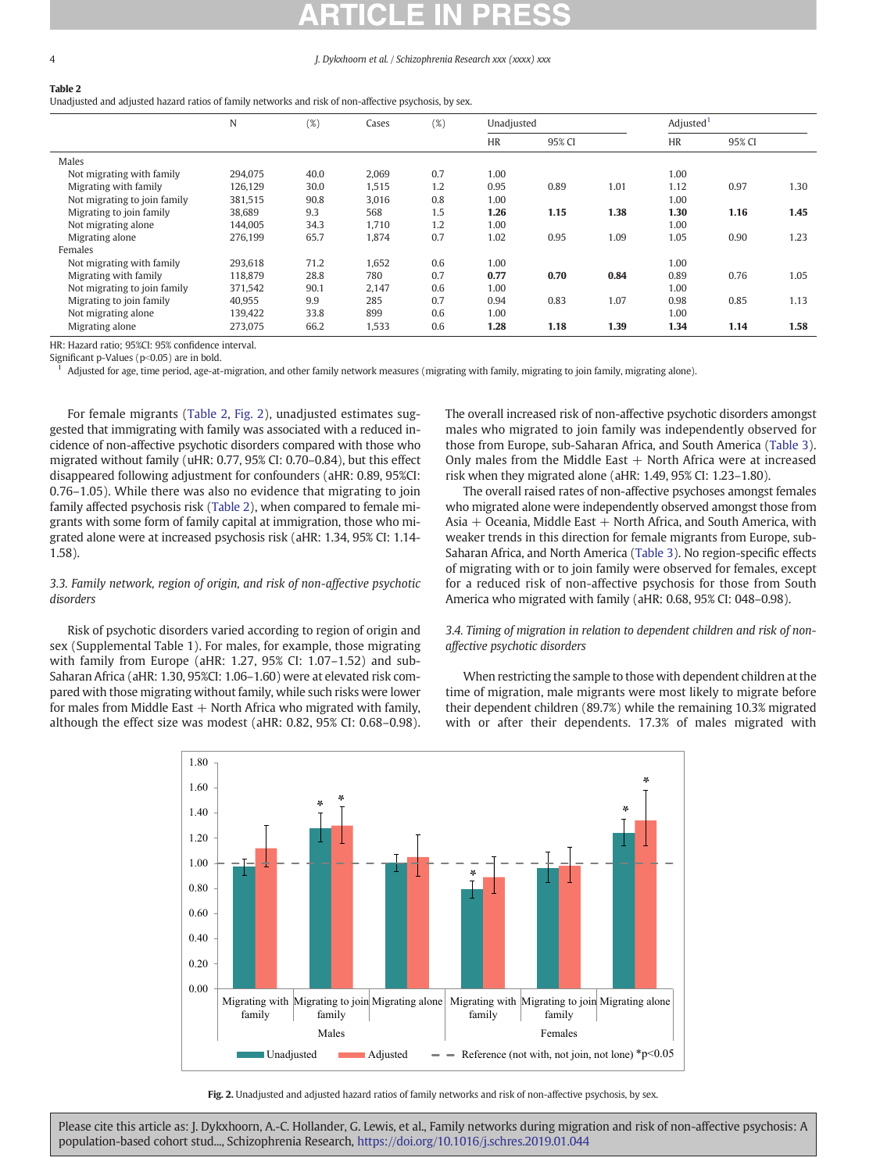# <span id="page-3-0"></span>Table 2

Unadjusted and adjusted hazard ratios of family networks and risk of non-affective psychosis, by sex.

|                              | N       | (%)<br>(%)<br>Unadjusted<br>Cases |       |     | Adjusted <sup>1</sup> |        |      |           |        |      |
|------------------------------|---------|-----------------------------------|-------|-----|-----------------------|--------|------|-----------|--------|------|
|                              |         |                                   |       |     | <b>HR</b>             | 95% CI |      | <b>HR</b> | 95% CI |      |
| Males                        |         |                                   |       |     |                       |        |      |           |        |      |
| Not migrating with family    | 294,075 | 40.0                              | 2.069 | 0.7 | 1.00                  |        |      | 1.00      |        |      |
| Migrating with family        | 126,129 | 30.0                              | 1.515 | 1.2 | 0.95                  | 0.89   | 1.01 | 1.12      | 0.97   | 1.30 |
| Not migrating to join family | 381,515 | 90.8                              | 3.016 | 0.8 | 1.00                  |        |      | 1.00      |        |      |
| Migrating to join family     | 38,689  | 9.3                               | 568   | 1.5 | 1.26                  | 1.15   | 1.38 | 1.30      | 1.16   | 1.45 |
| Not migrating alone          | 144,005 | 34.3                              | 1.710 | 1.2 | 1.00                  |        |      | 1.00      |        |      |
| Migrating alone              | 276.199 | 65.7                              | 1.874 | 0.7 | 1.02                  | 0.95   | 1.09 | 1.05      | 0.90   | 1.23 |
| Females                      |         |                                   |       |     |                       |        |      |           |        |      |
| Not migrating with family    | 293,618 | 71.2                              | 1,652 | 0.6 | 1.00                  |        |      | 1.00      |        |      |
| Migrating with family        | 118,879 | 28.8                              | 780   | 0.7 | 0.77                  | 0.70   | 0.84 | 0.89      | 0.76   | 1.05 |
| Not migrating to join family | 371,542 | 90.1                              | 2.147 | 0.6 | 1.00                  |        |      | 1.00      |        |      |
| Migrating to join family     | 40,955  | 9.9                               | 285   | 0.7 | 0.94                  | 0.83   | 1.07 | 0.98      | 0.85   | 1.13 |
| Not migrating alone          | 139,422 | 33.8                              | 899   | 0.6 | 1.00                  |        |      | 1.00      |        |      |
| Migrating alone              | 273,075 | 66.2                              | 1,533 | 0.6 | 1.28                  | 1.18   | 1.39 | 1.34      | 1.14   | 1.58 |

HR: Hazard ratio; 95%CI: 95% confidence interval.

Significant p-Values ( $p$ <0.05) are in bold.

<sup>1</sup> Adjusted for age, time period, age-at-migration, and other family network measures (migrating with family, migrating to join family, migrating alone).

For female migrants (Table 2, Fig. 2), unadjusted estimates suggested that immigrating with family was associated with a reduced incidence of non-affective psychotic disorders compared with those who migrated without family (uHR: 0.77, 95% CI: 0.70–0.84), but this effect disappeared following adjustment for confounders (aHR: 0.89, 95%CI: 0.76–1.05). While there was also no evidence that migrating to join family affected psychosis risk (Table 2), when compared to female migrants with some form of family capital at immigration, those who migrated alone were at increased psychosis risk (aHR: 1.34, 95% CI: 1.14- 1.58).

# 3.3. Family network, region of origin, and risk of non-affective psychotic disorders

Risk of psychotic disorders varied according to region of origin and sex (Supplemental Table 1). For males, for example, those migrating with family from Europe (aHR: 1.27, 95% CI: 1.07–1.52) and sub-Saharan Africa (aHR: 1.30, 95%CI: 1.06–1.60) were at elevated risk compared with those migrating without family, while such risks were lower for males from Middle East  $+$  North Africa who migrated with family, although the effect size was modest (aHR: 0.82, 95% CI: 0.68–0.98). The overall increased risk of non-affective psychotic disorders amongst males who migrated to join family was independently observed for those from Europe, sub-Saharan Africa, and South America [\(Table 3](#page-4-0)). Only males from the Middle East  $+$  North Africa were at increased risk when they migrated alone (aHR: 1.49, 95% CI: 1.23–1.80).

The overall raised rates of non-affective psychoses amongst females who migrated alone were independently observed amongst those from  $Asia + Oceania$ , Middle East  $+$  North Africa, and South America, with weaker trends in this direction for female migrants from Europe, sub-Saharan Africa, and North America [\(Table 3\)](#page-4-0). No region-specific effects of migrating with or to join family were observed for females, except for a reduced risk of non-affective psychosis for those from South America who migrated with family (aHR: 0.68, 95% CI: 048–0.98).

# 3.4. Timing of migration in relation to dependent children and risk of nonaffective psychotic disorders

When restricting the sample to those with dependent children at the time of migration, male migrants were most likely to migrate before their dependent children (89.7%) while the remaining 10.3% migrated with or after their dependents. 17.3% of males migrated with



Fig. 2. Unadjusted and adjusted hazard ratios of family networks and risk of non-affective psychosis, by sex.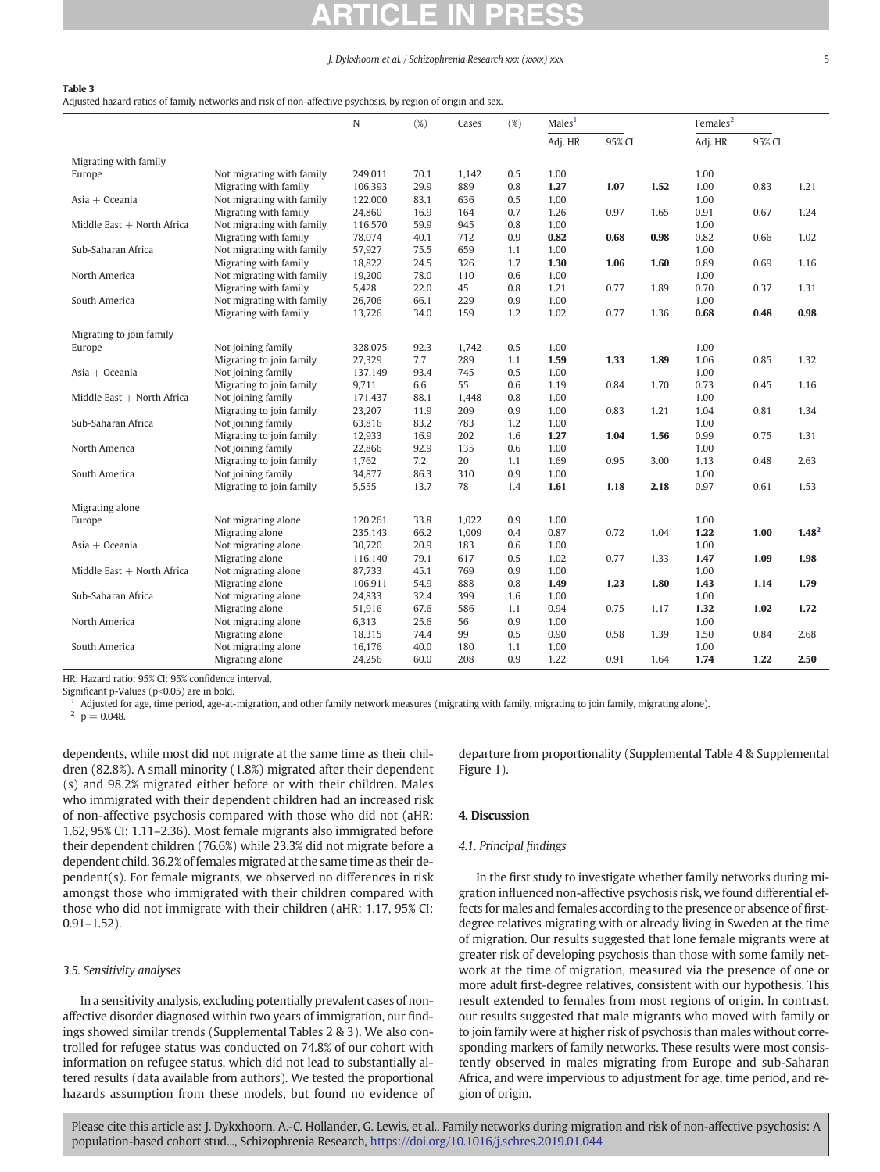<span id="page-4-0"></span>Adjusted hazard ratios of family networks and risk of non-affective psychosis, by region of origin and sex.

|                              |                           | $\mathbb N$ | (%)  | Cases | $(\%)$ | Males <sup>1</sup> |        |      | Females $2$ |        |            |
|------------------------------|---------------------------|-------------|------|-------|--------|--------------------|--------|------|-------------|--------|------------|
|                              |                           |             |      |       |        | Adj. HR            | 95% CI |      | Adj. HR     | 95% CI |            |
| Migrating with family        |                           |             |      |       |        |                    |        |      |             |        |            |
| Europe                       | Not migrating with family | 249,011     | 70.1 | 1.142 | 0.5    | 1.00               |        |      | 1.00        |        |            |
|                              | Migrating with family     | 106,393     | 29.9 | 889   | 0.8    | 1.27               | 1.07   | 1.52 | 1.00        | 0.83   | 1.21       |
| Asia $+$ Oceania             | Not migrating with family | 122,000     | 83.1 | 636   | 0.5    | 1.00               |        |      | 1.00        |        |            |
|                              | Migrating with family     | 24,860      | 16.9 | 164   | 0.7    | 1.26               | 0.97   | 1.65 | 0.91        | 0.67   | 1.24       |
| Middle East $+$ North Africa | Not migrating with family | 116,570     | 59.9 | 945   | 0.8    | 1.00               |        |      | 1.00        |        |            |
|                              | Migrating with family     | 78,074      | 40.1 | 712   | 0.9    | 0.82               | 0.68   | 0.98 | 0.82        | 0.66   | 1.02       |
| Sub-Saharan Africa           | Not migrating with family | 57,927      | 75.5 | 659   | 1,1    | 1.00               |        |      | 1.00        |        |            |
|                              | Migrating with family     | 18,822      | 24.5 | 326   | 1.7    | 1.30               | 1.06   | 1.60 | 0.89        | 0.69   | 1.16       |
| North America                | Not migrating with family | 19,200      | 78.0 | 110   | 0.6    | 1.00               |        |      | 1.00        |        |            |
|                              | Migrating with family     | 5,428       | 22.0 | 45    | 0.8    | 1.21               | 0.77   | 1.89 | 0.70        | 0.37   | 1.31       |
| South America                | Not migrating with family | 26,706      | 66.1 | 229   | 0.9    | 1.00               |        |      | 1.00        |        |            |
|                              | Migrating with family     | 13,726      | 34.0 | 159   | 1.2    | 1.02               | 0.77   | 1.36 | 0.68        | 0.48   | 0.98       |
| Migrating to join family     |                           |             |      |       |        |                    |        |      |             |        |            |
| Europe                       | Not joining family        | 328,075     | 92.3 | 1,742 | 0.5    | 1.00               |        |      | 1.00        |        |            |
|                              | Migrating to join family  | 27,329      | 7.7  | 289   | 1.1    | 1.59               | 1.33   | 1.89 | 1.06        | 0.85   | 1.32       |
| Asia $+$ Oceania             | Not joining family        | 137,149     | 93.4 | 745   | 0.5    | 1.00               |        |      | 1.00        |        |            |
|                              | Migrating to join family  | 9,711       | 6.6  | 55    | 0.6    | 1.19               | 0.84   | 1.70 | 0.73        | 0.45   | 1.16       |
| Middle East $+$ North Africa | Not joining family        | 171,437     | 88.1 | 1.448 | 0.8    | 1.00               |        |      | 1.00        |        |            |
|                              | Migrating to join family  | 23,207      | 11.9 | 209   | 0.9    | 1.00               | 0.83   | 1.21 | 1.04        | 0.81   | 1.34       |
| Sub-Saharan Africa           | Not joining family        | 63,816      | 83.2 | 783   | 1.2    | 1.00               |        |      | 1.00        |        |            |
|                              | Migrating to join family  | 12,933      | 16.9 | 202   | 1.6    | 1.27               | 1.04   | 1.56 | 0.99        | 0.75   | 1.31       |
| North America                | Not joining family        | 22,866      | 92.9 | 135   | 0.6    | 1.00               |        |      | 1.00        |        |            |
|                              | Migrating to join family  | 1,762       | 7.2  | 20    | 1.1    | 1.69               | 0.95   | 3.00 | 1.13        | 0.48   | 2.63       |
| South America                | Not joining family        | 34,877      | 86.3 | 310   | 0.9    | 1.00               |        |      | 1.00        |        |            |
|                              | Migrating to join family  | 5,555       | 13.7 | 78    | 1.4    | 1.61               | 1.18   | 2.18 | 0.97        | 0.61   | 1.53       |
| Migrating alone              |                           |             |      |       |        |                    |        |      |             |        |            |
| Europe                       | Not migrating alone       | 120,261     | 33.8 | 1,022 | 0.9    | 1.00               |        |      | 1.00        |        |            |
|                              | Migrating alone           | 235,143     | 66.2 | 1,009 | 0.4    | 0.87               | 0.72   | 1.04 | 1.22        | 1.00   | $1.48^{2}$ |
| Asia $+$ Oceania             | Not migrating alone       | 30,720      | 20.9 | 183   | 0.6    | 1.00               |        |      | 1.00        |        |            |
|                              | Migrating alone           | 116,140     | 79.1 | 617   | 0.5    | 1.02               | 0.77   | 1.33 | 1.47        | 1.09   | 1.98       |
| Middle East + North Africa   | Not migrating alone       | 87,733      | 45.1 | 769   | 0.9    | 1.00               |        |      | 1.00        |        |            |
|                              | Migrating alone           | 106,911     | 54.9 | 888   | 0.8    | 1.49               | 1.23   | 1.80 | 1.43        | 1.14   | 1.79       |
| Sub-Saharan Africa           | Not migrating alone       | 24,833      | 32.4 | 399   | 1.6    | 1.00               |        |      | 1.00        |        |            |
|                              | Migrating alone           | 51,916      | 67.6 | 586   | 1.1    | 0.94               | 0.75   | 1.17 | 1.32        | 1.02   | 1.72       |
| North America                | Not migrating alone       | 6,313       | 25.6 | 56    | 0.9    | 1.00               |        |      | 1.00        |        |            |
|                              | Migrating alone           | 18,315      | 74.4 | 99    | 0.5    | 0.90               | 0.58   | 1.39 | 1.50        | 0.84   | 2.68       |
| South America                | Not migrating alone       | 16,176      | 40.0 | 180   | 1.1    | 1.00               |        |      | 1.00        |        |            |
|                              | Migrating alone           | 24,256      | 60.0 | 208   | 0.9    | 1.22               | 0.91   | 1.64 | 1.74        | 1.22   | 2.50       |

HR: Hazard ratio; 95% CI: 95% confidence interval.

Significant p-Values ( $p<0.05$ ) are in bold.

<sup>1</sup> Adjusted for age, time period, age-at-migration, and other family network measures (migrating with family, migrating to join family, migrating alone).

 $2 p = 0.048$ .

dependents, while most did not migrate at the same time as their children (82.8%). A small minority (1.8%) migrated after their dependent (s) and 98.2% migrated either before or with their children. Males who immigrated with their dependent children had an increased risk of non-affective psychosis compared with those who did not (aHR: 1.62, 95% CI: 1.11–2.36). Most female migrants also immigrated before their dependent children (76.6%) while 23.3% did not migrate before a dependent child. 36.2% of females migrated at the same time as their dependent(s). For female migrants, we observed no differences in risk amongst those who immigrated with their children compared with those who did not immigrate with their children (aHR: 1.17, 95% CI: 0.91–1.52).

#### 3.5. Sensitivity analyses

In a sensitivity analysis, excluding potentially prevalent cases of nonaffective disorder diagnosed within two years of immigration, our findings showed similar trends (Supplemental Tables 2 & 3). We also controlled for refugee status was conducted on 74.8% of our cohort with information on refugee status, which did not lead to substantially altered results (data available from authors). We tested the proportional hazards assumption from these models, but found no evidence of departure from proportionality (Supplemental Table 4 & Supplemental Figure 1).

#### 4. Discussion

### 4.1. Principal findings

In the first study to investigate whether family networks during migration influenced non-affective psychosis risk, we found differential effects for males and females according to the presence or absence of firstdegree relatives migrating with or already living in Sweden at the time of migration. Our results suggested that lone female migrants were at greater risk of developing psychosis than those with some family network at the time of migration, measured via the presence of one or more adult first-degree relatives, consistent with our hypothesis. This result extended to females from most regions of origin. In contrast, our results suggested that male migrants who moved with family or to join family were at higher risk of psychosis than males without corresponding markers of family networks. These results were most consistently observed in males migrating from Europe and sub-Saharan Africa, and were impervious to adjustment for age, time period, and region of origin.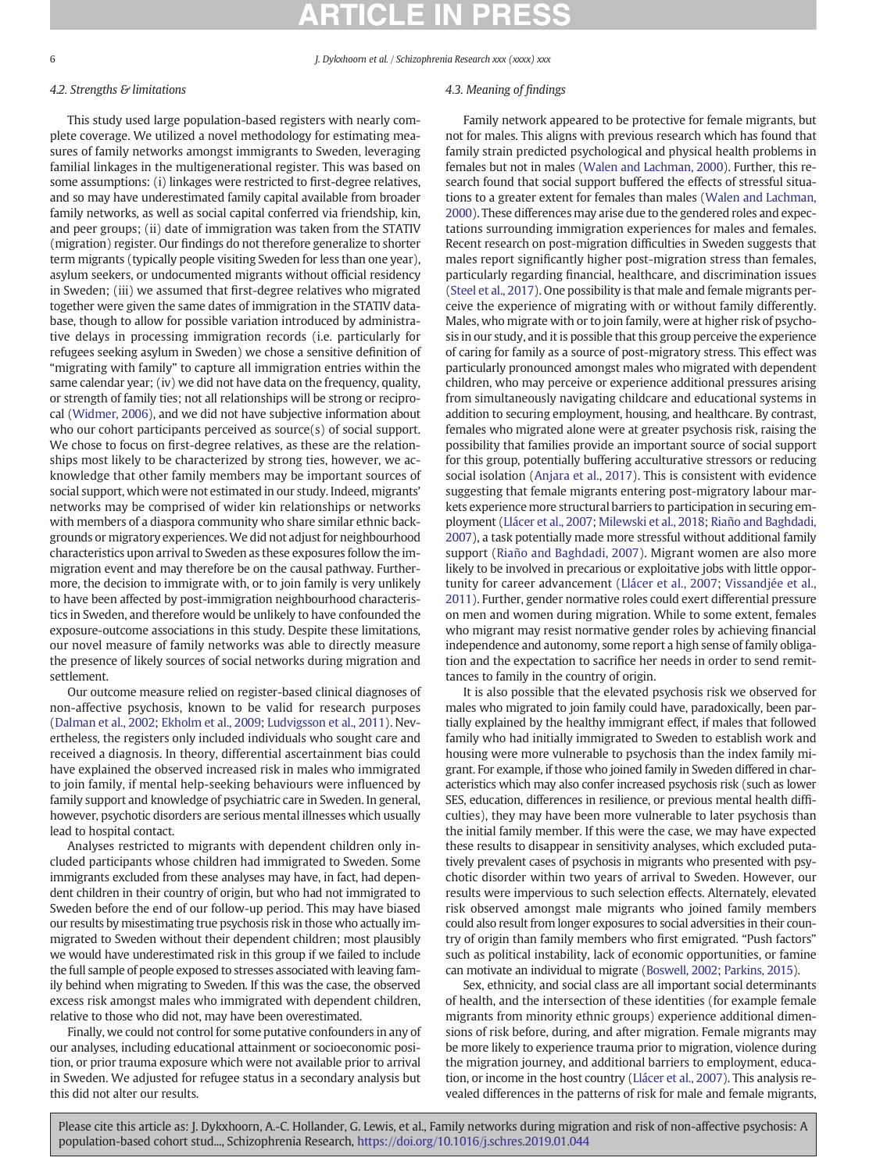### 4.2. Strengths & limitations

This study used large population-based registers with nearly complete coverage. We utilized a novel methodology for estimating measures of family networks amongst immigrants to Sweden, leveraging familial linkages in the multigenerational register. This was based on some assumptions: (i) linkages were restricted to first-degree relatives, and so may have underestimated family capital available from broader family networks, as well as social capital conferred via friendship, kin, and peer groups; (ii) date of immigration was taken from the STATIV (migration) register. Our findings do not therefore generalize to shorter term migrants (typically people visiting Sweden for less than one year), asylum seekers, or undocumented migrants without official residency in Sweden; (iii) we assumed that first-degree relatives who migrated together were given the same dates of immigration in the STATIV database, though to allow for possible variation introduced by administrative delays in processing immigration records (i.e. particularly for refugees seeking asylum in Sweden) we chose a sensitive definition of "migrating with family" to capture all immigration entries within the same calendar year; (iv) we did not have data on the frequency, quality, or strength of family ties; not all relationships will be strong or reciprocal [\(Widmer, 2006](#page-7-0)), and we did not have subjective information about who our cohort participants perceived as source(s) of social support. We chose to focus on first-degree relatives, as these are the relationships most likely to be characterized by strong ties, however, we acknowledge that other family members may be important sources of social support, which were not estimated in our study. Indeed, migrants' networks may be comprised of wider kin relationships or networks with members of a diaspora community who share similar ethnic backgrounds or migratory experiences.We did not adjust for neighbourhood characteristics upon arrival to Sweden as these exposures follow the immigration event and may therefore be on the causal pathway. Furthermore, the decision to immigrate with, or to join family is very unlikely to have been affected by post-immigration neighbourhood characteristics in Sweden, and therefore would be unlikely to have confounded the exposure-outcome associations in this study. Despite these limitations, our novel measure of family networks was able to directly measure the presence of likely sources of social networks during migration and settlement.

Our outcome measure relied on register-based clinical diagnoses of non-affective psychosis, known to be valid for research purposes [\(Dalman et al., 2002;](#page-6-0) [Ekholm et al., 2009](#page-6-0); [Ludvigsson et al., 2011\)](#page-6-0). Nevertheless, the registers only included individuals who sought care and received a diagnosis. In theory, differential ascertainment bias could have explained the observed increased risk in males who immigrated to join family, if mental help-seeking behaviours were influenced by family support and knowledge of psychiatric care in Sweden. In general, however, psychotic disorders are serious mental illnesses which usually lead to hospital contact.

Analyses restricted to migrants with dependent children only included participants whose children had immigrated to Sweden. Some immigrants excluded from these analyses may have, in fact, had dependent children in their country of origin, but who had not immigrated to Sweden before the end of our follow-up period. This may have biased our results by misestimating true psychosis risk in those who actually immigrated to Sweden without their dependent children; most plausibly we would have underestimated risk in this group if we failed to include the full sample of people exposed to stresses associated with leaving family behind when migrating to Sweden. If this was the case, the observed excess risk amongst males who immigrated with dependent children, relative to those who did not, may have been overestimated.

Finally, we could not control for some putative confounders in any of our analyses, including educational attainment or socioeconomic position, or prior trauma exposure which were not available prior to arrival in Sweden. We adjusted for refugee status in a secondary analysis but this did not alter our results.

### 4.3. Meaning of findings

Family network appeared to be protective for female migrants, but not for males. This aligns with previous research which has found that family strain predicted psychological and physical health problems in females but not in males [\(Walen and Lachman, 2000](#page-7-0)). Further, this research found that social support buffered the effects of stressful situations to a greater extent for females than males ([Walen and Lachman,](#page-7-0) [2000\)](#page-7-0). These differences may arise due to the gendered roles and expectations surrounding immigration experiences for males and females. Recent research on post-migration difficulties in Sweden suggests that males report significantly higher post-migration stress than females, particularly regarding financial, healthcare, and discrimination issues [\(Steel et al., 2017\)](#page-6-0). One possibility is that male and female migrants perceive the experience of migrating with or without family differently. Males, who migrate with or to join family, were at higher risk of psychosis in our study, and it is possible that this group perceive the experience of caring for family as a source of post-migratory stress. This effect was particularly pronounced amongst males who migrated with dependent children, who may perceive or experience additional pressures arising from simultaneously navigating childcare and educational systems in addition to securing employment, housing, and healthcare. By contrast, females who migrated alone were at greater psychosis risk, raising the possibility that families provide an important source of social support for this group, potentially buffering acculturative stressors or reducing social isolation ([Anjara et al., 2017](#page-6-0)). This is consistent with evidence suggesting that female migrants entering post-migratory labour markets experience more structural barriers to participation in securing employment [\(Llácer et al., 2007](#page-6-0); [Milewski et al., 2018](#page-6-0); [Riaño and Baghdadi,](#page-6-0) [2007\)](#page-6-0), a task potentially made more stressful without additional family support [\(Riaño and Baghdadi, 2007\)](#page-6-0). Migrant women are also more likely to be involved in precarious or exploitative jobs with little opportunity for career advancement ([Llácer et al., 2007;](#page-6-0) [Vissandjée et al.,](#page-7-0) [2011\)](#page-7-0). Further, gender normative roles could exert differential pressure on men and women during migration. While to some extent, females who migrant may resist normative gender roles by achieving financial independence and autonomy, some report a high sense of family obligation and the expectation to sacrifice her needs in order to send remittances to family in the country of origin.

It is also possible that the elevated psychosis risk we observed for males who migrated to join family could have, paradoxically, been partially explained by the healthy immigrant effect, if males that followed family who had initially immigrated to Sweden to establish work and housing were more vulnerable to psychosis than the index family migrant. For example, if those who joined family in Sweden differed in characteristics which may also confer increased psychosis risk (such as lower SES, education, differences in resilience, or previous mental health difficulties), they may have been more vulnerable to later psychosis than the initial family member. If this were the case, we may have expected these results to disappear in sensitivity analyses, which excluded putatively prevalent cases of psychosis in migrants who presented with psychotic disorder within two years of arrival to Sweden. However, our results were impervious to such selection effects. Alternately, elevated risk observed amongst male migrants who joined family members could also result from longer exposures to social adversities in their country of origin than family members who first emigrated. "Push factors" such as political instability, lack of economic opportunities, or famine can motivate an individual to migrate ([Boswell, 2002;](#page-6-0) [Parkins, 2015\)](#page-6-0).

Sex, ethnicity, and social class are all important social determinants of health, and the intersection of these identities (for example female migrants from minority ethnic groups) experience additional dimensions of risk before, during, and after migration. Female migrants may be more likely to experience trauma prior to migration, violence during the migration journey, and additional barriers to employment, education, or income in the host country ([Llácer et al., 2007](#page-6-0)). This analysis revealed differences in the patterns of risk for male and female migrants,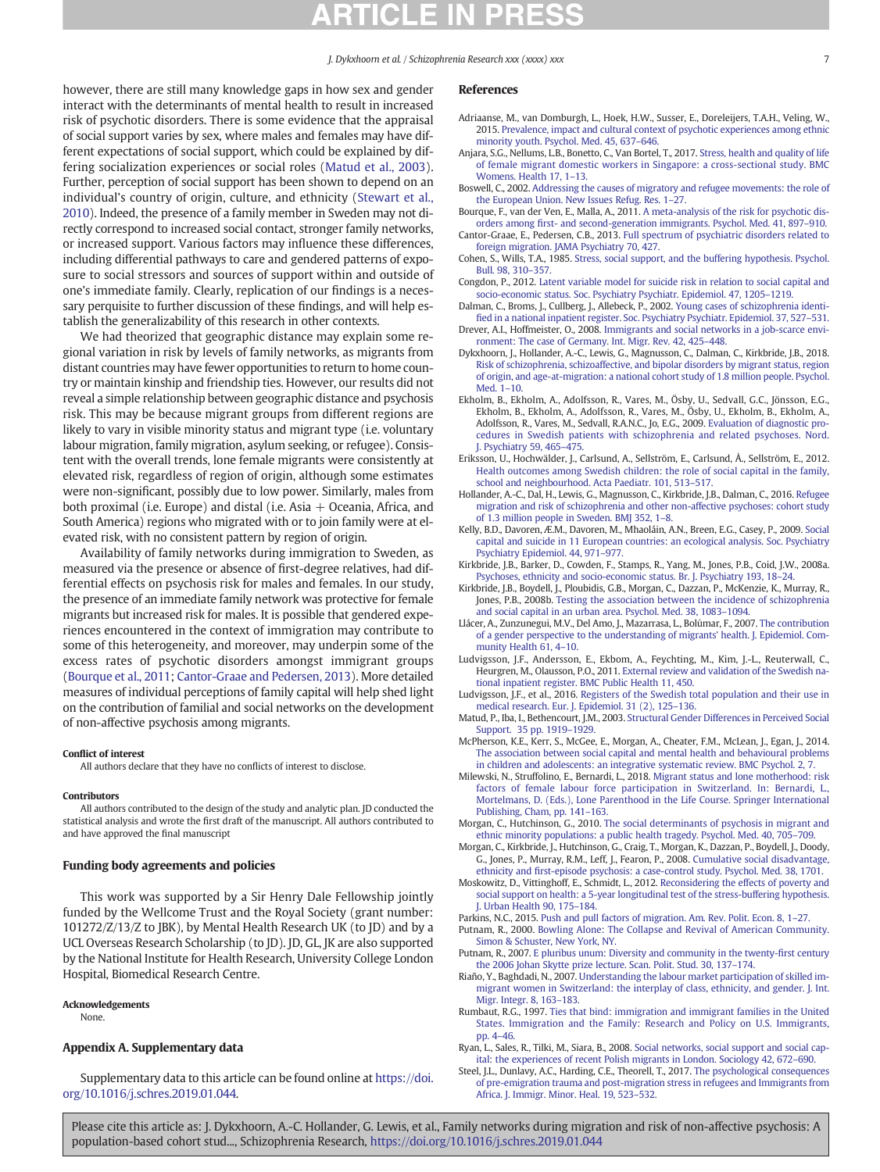<span id="page-6-0"></span>however, there are still many knowledge gaps in how sex and gender interact with the determinants of mental health to result in increased risk of psychotic disorders. There is some evidence that the appraisal of social support varies by sex, where males and females may have different expectations of social support, which could be explained by differing socialization experiences or social roles (Matud et al., 2003). Further, perception of social support has been shown to depend on an individual's country of origin, culture, and ethnicity [\(Stewart et al.,](#page-7-0) [2010](#page-7-0)). Indeed, the presence of a family member in Sweden may not directly correspond to increased social contact, stronger family networks, or increased support. Various factors may influence these differences, including differential pathways to care and gendered patterns of exposure to social stressors and sources of support within and outside of one's immediate family. Clearly, replication of our findings is a necessary perquisite to further discussion of these findings, and will help establish the generalizability of this research in other contexts.

We had theorized that geographic distance may explain some regional variation in risk by levels of family networks, as migrants from distant countries may have fewer opportunities to return to home country or maintain kinship and friendship ties. However, our results did not reveal a simple relationship between geographic distance and psychosis risk. This may be because migrant groups from different regions are likely to vary in visible minority status and migrant type (i.e. voluntary labour migration, family migration, asylum seeking, or refugee). Consistent with the overall trends, lone female migrants were consistently at elevated risk, regardless of region of origin, although some estimates were non-significant, possibly due to low power. Similarly, males from both proximal (i.e. Europe) and distal (i.e. Asia  $+$  Oceania, Africa, and South America) regions who migrated with or to join family were at elevated risk, with no consistent pattern by region of origin.

Availability of family networks during immigration to Sweden, as measured via the presence or absence of first-degree relatives, had differential effects on psychosis risk for males and females. In our study, the presence of an immediate family network was protective for female migrants but increased risk for males. It is possible that gendered experiences encountered in the context of immigration may contribute to some of this heterogeneity, and moreover, may underpin some of the excess rates of psychotic disorders amongst immigrant groups (Bourque et al., 2011; Cantor-Graae and Pedersen, 2013). More detailed measures of individual perceptions of family capital will help shed light on the contribution of familial and social networks on the development of non-affective psychosis among migrants.

#### Conflict of interest

All authors declare that they have no conflicts of interest to disclose.

#### Contributors

All authors contributed to the design of the study and analytic plan. JD conducted the statistical analysis and wrote the first draft of the manuscript. All authors contributed to and have approved the final manuscript

#### Funding body agreements and policies

This work was supported by a Sir Henry Dale Fellowship jointly funded by the Wellcome Trust and the Royal Society (grant number: 101272/Z/13/Z to JBK), by Mental Health Research UK (to JD) and by a UCL Overseas Research Scholarship (to JD). JD, GL, JK are also supported by the National Institute for Health Research, University College London Hospital, Biomedical Research Centre.

#### Acknowledgements

None.

### Appendix A. Supplementary data

Supplementary data to this article can be found online at [https://doi.](https://doi.org/10.1016/j.schres.2019.01.044) [org/10.1016/j.schres.2019.01.044.](https://doi.org/10.1016/j.schres.2019.01.044)

### References

- Adriaanse, M., van Domburgh, L., Hoek, H.W., Susser, E., Doreleijers, T.A.H., Veling, W., 2015. [Prevalence, impact and cultural context of psychotic experiences among ethnic](http://refhub.elsevier.com/S0920-9964(19)30047-7/rf0005) [minority youth. Psychol. Med. 45, 637](http://refhub.elsevier.com/S0920-9964(19)30047-7/rf0005)–646.
- Anjara, S.G., Nellums, L.B., Bonetto, C., Van Bortel, T., 2017. [Stress, health and quality of life](http://refhub.elsevier.com/S0920-9964(19)30047-7/rf0010) [of female migrant domestic workers in Singapore: a cross-sectional study. BMC](http://refhub.elsevier.com/S0920-9964(19)30047-7/rf0010) [Womens. Health 17, 1](http://refhub.elsevier.com/S0920-9964(19)30047-7/rf0010)–13.
- Boswell, C., 2002. [Addressing the causes of migratory and refugee movements: the role of](http://refhub.elsevier.com/S0920-9964(19)30047-7/rf0015) [the European Union. New Issues Refug. Res. 1](http://refhub.elsevier.com/S0920-9964(19)30047-7/rf0015)–27.
- Bourque, F., van der Ven, E., Malla, A., 2011. [A meta-analysis of the risk for psychotic dis](http://refhub.elsevier.com/S0920-9964(19)30047-7/rf0020)orders among fi[rst- and second-generation immigrants. Psychol. Med. 41, 897](http://refhub.elsevier.com/S0920-9964(19)30047-7/rf0020)–910. Cantor-Graae, E., Pedersen, C.B., 2013. [Full spectrum of psychiatric disorders related to](http://refhub.elsevier.com/S0920-9964(19)30047-7/rf0030)
- [foreign migration. JAMA Psychiatry 70, 427](http://refhub.elsevier.com/S0920-9964(19)30047-7/rf0030).
- Cohen, S., Wills, T.A., 1985. [Stress, social support, and the buffering hypothesis. Psychol.](http://refhub.elsevier.com/S0920-9964(19)30047-7/rf0035) [Bull. 98, 310](http://refhub.elsevier.com/S0920-9964(19)30047-7/rf0035)–357.
- Congdon, P., 2012. [Latent variable model for suicide risk in relation to social capital and](http://refhub.elsevier.com/S0920-9964(19)30047-7/rf0040) [socio-economic status. Soc. Psychiatry Psychiatr. Epidemiol. 47, 1205](http://refhub.elsevier.com/S0920-9964(19)30047-7/rf0040)–1219.
- Dalman, C., Broms, J., Cullberg, J., Allebeck, P., 2002. [Young cases of schizophrenia identi](http://refhub.elsevier.com/S0920-9964(19)30047-7/rf0045)fi[ed in a national inpatient register. Soc. Psychiatry Psychiatr. Epidemiol. 37, 527](http://refhub.elsevier.com/S0920-9964(19)30047-7/rf0045)–531. Drever, A.I., Hoffmeister, O., 2008. [Immigrants and social networks in a job-scarce envi-](http://refhub.elsevier.com/S0920-9964(19)30047-7/rf0050)
- [ronment: The case of Germany. Int. Migr. Rev. 42, 425](http://refhub.elsevier.com/S0920-9964(19)30047-7/rf0050)–448.
- Dykxhoorn, J., Hollander, A.-C., Lewis, G., Magnusson, C., Dalman, C., Kirkbride, J.B., 2018. [Risk of schizophrenia, schizoaffective, and bipolar disorders by migrant status, region](http://refhub.elsevier.com/S0920-9964(19)30047-7/rf0055) [of origin, and age-at-migration: a national cohort study of 1.8 million people. Psychol.](http://refhub.elsevier.com/S0920-9964(19)30047-7/rf0055) [Med. 1](http://refhub.elsevier.com/S0920-9964(19)30047-7/rf0055)–10.
- Ekholm, B., Ekholm, A., Adolfsson, R., Vares, M., Ösby, U., Sedvall, G.C., Jönsson, E.G., Ekholm, B., Ekholm, A., Adolfsson, R., Vares, M., Ösby, U., Ekholm, B., Ekholm, A., Adolfsson, R., Vares, M., Sedvall, R.A.N.C., Jo, E.G., 2009. [Evaluation of diagnostic pro](http://refhub.elsevier.com/S0920-9964(19)30047-7/rf0060)[cedures in Swedish patients with schizophrenia and related psychoses. Nord.](http://refhub.elsevier.com/S0920-9964(19)30047-7/rf0060) [J. Psychiatry 59, 465](http://refhub.elsevier.com/S0920-9964(19)30047-7/rf0060)–475.
- Eriksson, U., Hochwälder, J., Carlsund, A., Sellström, E., Carlsund, Å., Sellström, E., 2012. [Health outcomes among Swedish children: the role of social capital in the family,](http://refhub.elsevier.com/S0920-9964(19)30047-7/rf0065) [school and neighbourhood. Acta Paediatr. 101, 513](http://refhub.elsevier.com/S0920-9964(19)30047-7/rf0065)–517.
- Hollander, A.-C., Dal, H., Lewis, G., Magnusson, C., Kirkbride, J.B., Dalman, C., 2016. [Refugee](http://refhub.elsevier.com/S0920-9964(19)30047-7/rf0080) [migration and risk of schizophrenia and other non-affective psychoses: cohort study](http://refhub.elsevier.com/S0920-9964(19)30047-7/rf0080) [of 1.3 million people in Sweden. BMJ 352, 1](http://refhub.elsevier.com/S0920-9964(19)30047-7/rf0080)–8.
- Kelly, B.D., Davoren, Æ.M., Davoren, M., Mhaoláin, A.N., Breen, E.G., Casey, P., 2009. [Social](http://refhub.elsevier.com/S0920-9964(19)30047-7/rf0085) [capital and suicide in 11 European countries: an ecological analysis. Soc. Psychiatry](http://refhub.elsevier.com/S0920-9964(19)30047-7/rf0085) [Psychiatry Epidemiol. 44, 971](http://refhub.elsevier.com/S0920-9964(19)30047-7/rf0085)–977.
- Kirkbride, J.B., Barker, D., Cowden, F., Stamps, R., Yang, M., Jones, P.B., Coid, J.W., 2008a. [Psychoses, ethnicity and socio-economic status. Br. J. Psychiatry 193, 18](http://refhub.elsevier.com/S0920-9964(19)30047-7/rf0090)–24.
- Kirkbride, J.B., Boydell, J., Ploubidis, G.B., Morgan, C., Dazzan, P., McKenzie, K., Murray, R., Jones, P.B., 2008b. [Testing the association between the incidence of schizophrenia](http://refhub.elsevier.com/S0920-9964(19)30047-7/rf0095) [and social capital in an urban area. Psychol. Med. 38, 1083](http://refhub.elsevier.com/S0920-9964(19)30047-7/rf0095)–1094.
- Llácer, A., Zunzunegui, M.V., Del Amo, J., Mazarrasa, L., Bolůmar, F., 2007. [The contribution](http://refhub.elsevier.com/S0920-9964(19)30047-7/rf0100) [of a gender perspective to the understanding of migrants](http://refhub.elsevier.com/S0920-9964(19)30047-7/rf0100)' health. J. Epidemiol. Com[munity Health 61, 4](http://refhub.elsevier.com/S0920-9964(19)30047-7/rf0100)–10.
- Ludvigsson, J.F., Andersson, E., Ekbom, A., Feychting, M., Kim, J.-L., Reuterwall, C., Heurgren, M., Olausson, P.O., 2011. [External review and validation of the Swedish na](http://refhub.elsevier.com/S0920-9964(19)30047-7/rf0105)[tional inpatient register. BMC Public Health 11, 450.](http://refhub.elsevier.com/S0920-9964(19)30047-7/rf0105)
- Ludvigsson, J.F., et al., 2016. [Registers of the Swedish total population and their use in](http://refhub.elsevier.com/S0920-9964(19)30047-7/rf0110) [medical research. Eur. J. Epidemiol. 31 \(2\), 125](http://refhub.elsevier.com/S0920-9964(19)30047-7/rf0110)–136.
- Matud, P., Iba, I., Bethencourt, J.M., 2003. [Structural Gender Differences in Perceived Social](http://refhub.elsevier.com/S0920-9964(19)30047-7/rf0115) [Support. 35 pp. 1919](http://refhub.elsevier.com/S0920-9964(19)30047-7/rf0115)–1929.
- McPherson, K.E., Kerr, S., McGee, E., Morgan, A., Cheater, F.M., McLean, J., Egan, J., 2014. [The association between social capital and mental health and behavioural problems](http://refhub.elsevier.com/S0920-9964(19)30047-7/rf0125) [in children and adolescents: an integrative systematic review. BMC Psychol. 2, 7](http://refhub.elsevier.com/S0920-9964(19)30047-7/rf0125).
- Milewski, N., Struffolino, E., Bernardi, L., 2018. [Migrant status and lone motherhood: risk](http://refhub.elsevier.com/S0920-9964(19)30047-7/rf0130) [factors of female labour force participation in Switzerland. In: Bernardi, L.,](http://refhub.elsevier.com/S0920-9964(19)30047-7/rf0130) [Mortelmans, D. \(Eds.\), Lone Parenthood in the Life Course. Springer International](http://refhub.elsevier.com/S0920-9964(19)30047-7/rf0130) [Publishing, Cham, pp. 141](http://refhub.elsevier.com/S0920-9964(19)30047-7/rf0130)–163.
- Morgan, C., Hutchinson, G., 2010. [The social determinants of psychosis in migrant and](http://refhub.elsevier.com/S0920-9964(19)30047-7/rf0135) [ethnic minority populations: a public health tragedy. Psychol. Med. 40, 705](http://refhub.elsevier.com/S0920-9964(19)30047-7/rf0135)–709.
- Morgan, C., Kirkbride, J., Hutchinson, G., Craig, T., Morgan, K., Dazzan, P., Boydell, J., Doody, G., Jones, P., Murray, R.M., Leff, J., Fearon, P., 2008. [Cumulative social disadvantage,](http://refhub.elsevier.com/S0920-9964(19)30047-7/rf0140) ethnicity and fi[rst-episode psychosis: a case-control study. Psychol. Med. 38, 1701](http://refhub.elsevier.com/S0920-9964(19)30047-7/rf0140).
- Moskowitz, D., Vittinghoff, E., Schmidt, L., 2012. [Reconsidering the effects of poverty and](http://refhub.elsevier.com/S0920-9964(19)30047-7/rf0145) [social support on health: a 5-year longitudinal test of the stress-buffering hypothesis.](http://refhub.elsevier.com/S0920-9964(19)30047-7/rf0145) [J. Urban Health 90, 175](http://refhub.elsevier.com/S0920-9964(19)30047-7/rf0145)–184.
- Parkins, N.C., 2015. [Push and pull factors of migration. Am. Rev. Polit. Econ. 8, 1](http://refhub.elsevier.com/S0920-9964(19)30047-7/rf0150)–27.
- Putnam, R., 2000. [Bowling Alone: The Collapse and Revival of American Community.](http://refhub.elsevier.com/S0920-9964(19)30047-7/rf0155) [Simon & Schuster, New York, NY.](http://refhub.elsevier.com/S0920-9964(19)30047-7/rf0155)
- Putnam, R., 2007. [E pluribus unum: Diversity and community in the twenty-](http://refhub.elsevier.com/S0920-9964(19)30047-7/rf0160)first century [the 2006 Johan Skytte prize lecture. Scan. Polit. Stud. 30, 137](http://refhub.elsevier.com/S0920-9964(19)30047-7/rf0160)–174.
- Riaño, Y., Baghdadi, N., 2007. [Understanding the labour market participation of skilled im](http://refhub.elsevier.com/S0920-9964(19)30047-7/rf0170)[migrant women in Switzerland: the interplay of class, ethnicity, and gender. J. Int.](http://refhub.elsevier.com/S0920-9964(19)30047-7/rf0170) [Migr. Integr. 8, 163](http://refhub.elsevier.com/S0920-9964(19)30047-7/rf0170)–183.
- Rumbaut, R.G., 1997. [Ties that bind: immigration and immigrant families in the United](http://refhub.elsevier.com/S0920-9964(19)30047-7/rf0175) [States. Immigration and the Family: Research and Policy on U.S. Immigrants,](http://refhub.elsevier.com/S0920-9964(19)30047-7/rf0175) [pp. 4](http://refhub.elsevier.com/S0920-9964(19)30047-7/rf0175)–46.
- Ryan, L., Sales, R., Tilki, M., Siara, B., 2008. [Social networks, social support and social cap](http://refhub.elsevier.com/S0920-9964(19)30047-7/rf0180)[ital: the experiences of recent Polish migrants in London. Sociology 42, 672](http://refhub.elsevier.com/S0920-9964(19)30047-7/rf0180)–690.
- Steel, J.L., Dunlavy, A.C., Harding, C.E., Theorell, T., 2017. [The psychological consequences](http://refhub.elsevier.com/S0920-9964(19)30047-7/rf0185) [of pre-emigration trauma and post-migration stress in refugees and Immigrants from](http://refhub.elsevier.com/S0920-9964(19)30047-7/rf0185) [Africa. J. Immigr. Minor. Heal. 19, 523](http://refhub.elsevier.com/S0920-9964(19)30047-7/rf0185)–532.